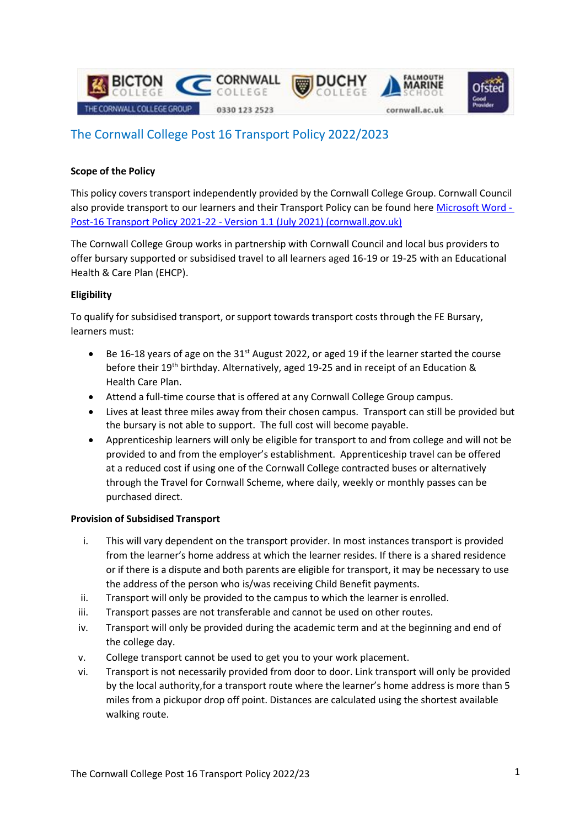

# The Cornwall College Post 16 Transport Policy 2022/2023

# **Scope of the Policy**

This policy covers transport independently provided by the Cornwall College Group. Cornwall Council also provide transport to our learners and their Transport Policy can be found here [Microsoft Word -](https://www.cornwall.gov.uk/media/3lxldn4s/post-16-transport-policy-2021-22-version-1-1-july-2021-2.pdf) Post-16 Transport Policy 2021-22 - [Version 1.1 \(July 2021\) \(cornwall.gov.uk\)](https://www.cornwall.gov.uk/media/3lxldn4s/post-16-transport-policy-2021-22-version-1-1-july-2021-2.pdf)

The Cornwall College Group works in partnership with Cornwall Council and local bus providers to offer bursary supported or subsidised travel to all learners aged 16-19 or 19-25 with an Educational Health & Care Plan (EHCP).

# **Eligibility**

To qualify for subsidised transport, orsupport towards transport costs through the FE Bursary, learners must:

- Be 16-18 years of age on the 31<sup>st</sup> August 2022, or aged 19 if the learner started the course before their 19th birthday. Alternatively, aged 19-25 and in receipt of an Education & Health Care Plan.
- Attend a full-time course that is offered at any Cornwall College Group campus.
- Lives at least three miles away from their chosen campus. Transport can still be provided but the bursary is not able to support. The full cost will become payable.
- Apprenticeship learners will only be eligible for transport to and from college and will not be provided to and from the employer's establishment. Apprenticeship travel can be offered at a reduced cost if using one of the Cornwall College contracted buses or alternatively through the Travel for Cornwall Scheme, where daily, weekly or monthly passes can be purchased direct.

#### **Provision of Subsidised Transport**

- i. This will vary dependent on the transport provider. In most instances transport is provided from the learner's home address at which the learner resides. If there is a shared residence or if there is a dispute and both parents are eligible for transport, it may be necessary to use the address of the person who is/was receiving Child Benefit payments.
- ii. Transport will only be provided to the campus to which the learner is enrolled.
- iii. Transport passes are not transferable and cannot be used on other routes.
- iv. Transport will only be provided during the academic term and at the beginning and end of the college day.
- v. College transport cannot be used to get you to your work placement.
- vi. Transport is not necessarily provided from door to door. Link transport will only be provided by the local authority,for a transport route where the learner's home address is more than 5 miles from a pickupor drop off point. Distances are calculated using the shortest available walking route.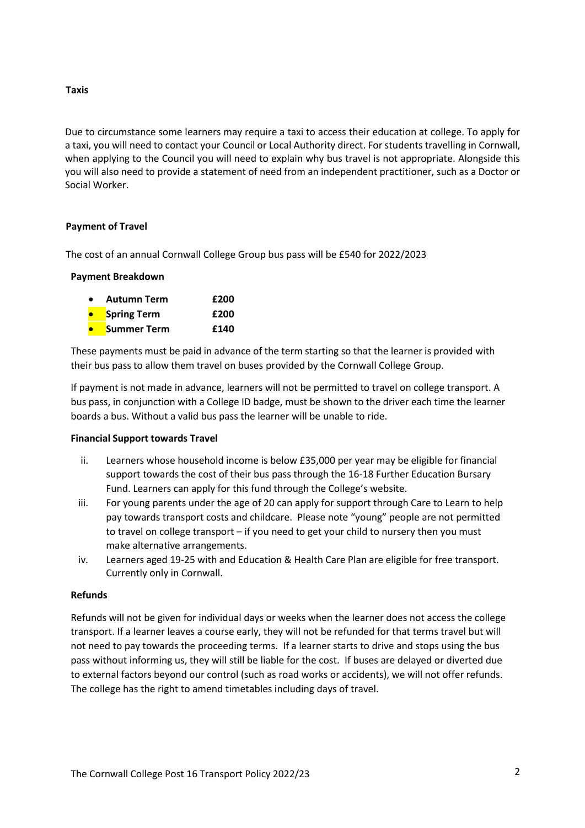**Taxis** 

Due to circumstance some learners may require a taxi to access their education at college. To apply for a taxi, you will need to contact your Council or Local Authority direct. For students travelling in Cornwall, when applying to the Council you will need to explain why bus travel is not appropriate. Alongside this you will also need to provide a statement of need from an independent practitioner, such as a Doctor or Social Worker.

### **Payment of Travel**

The cost of an annual Cornwall College Group bus pass will be £540 for 2022/2023

#### **Payment Breakdown**

| <b>Autumn Term</b> | £200 |
|--------------------|------|
| <b>Spring Term</b> | £200 |
| Summer Term        | £140 |

These payments must be paid in advance of the term starting so that the learner is provided with their bus pass to allow them travel on buses provided by the Cornwall College Group.

If payment is not made in advance, learners will not be permitted to travel on college transport. A bus pass, in conjunction with a College ID badge, must be shown to the driver each time the learner boards a bus. Without a valid bus pass the learner will be unable to ride.

#### **Financial Support towards Travel**

- ii. Learners whose household income is below £35,000 per year may be eligible for financial support towards the cost of their bus pass through the 16-18 Further Education Bursary Fund. Learners can apply for this fund through the College's website.
- iii. For young parents under the age of 20 can apply for support through Care to Learn to help pay towards transport costs and childcare. Please note "young" people are not permitted to travel on college transport – if you need to get your child to nursery then you must make alternative arrangements.
- iv. Learners aged 19-25 with and Education & Health Care Plan are eligible for free transport. Currently only in Cornwall.

#### **Refunds**

Refunds will not be given for individual days or weeks when the learner does not access the college transport. If a learner leaves a course early, they will not be refunded for that terms travel but will not need to pay towards the proceeding terms. If a learner starts to drive and stops using the bus pass without informing us, they will still be liable for the cost. If buses are delayed or diverted due to external factors beyond our control (such as road works or accidents), we will not offer refunds. The college has the right to amend timetables including days of travel.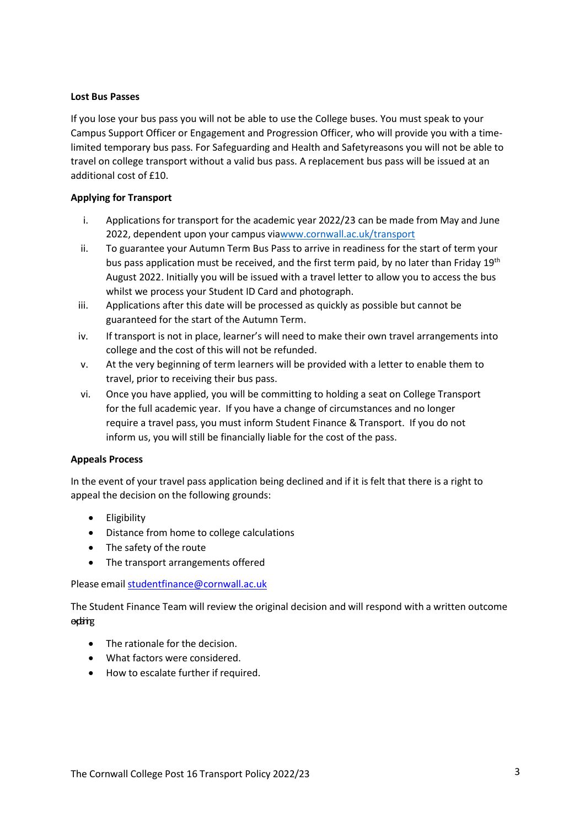#### **Lost Bus Passes**

If you lose your bus pass you will not be able to use the College buses. You must speak to your Campus Support Officer or Engagement and Progression Officer, who will provide you with a timelimited temporary bus pass. For Safeguarding and Health and Safetyreasons you will not be able to travel on college transport without a valid bus pass. A replacement bus pass will be issued at an additional cost of £10.

## **Applying for Transport**

- i. Applications for transport for the academic year 2022/23 can be made from May and June 2022, dependent upon your campus vi[awww.cornwall.ac.uk/transport](http://www.cornwall.ac.uk/transport)
- ii. To guarantee your Autumn Term Bus Pass to arrive in readiness for the start of term your bus pass application must be received, and the first term paid, by no later than Friday 19<sup>th</sup> August 2022. Initially you will be issued with a travel letter to allow you to access the bus whilst we process your Student ID Card and photograph.
- iii. Applications after this date will be processed as quickly as possible but cannot be guaranteed for the start of the Autumn Term.
- iv. If transport is not in place, learner's will need to make their own travel arrangements into college and the cost of this will not be refunded.
- v. At the very beginning of term learners will be provided with a letter to enable them to travel, prior to receiving their bus pass.
- vi. Once you have applied, you will be committing to holding a seat on College Transport for the full academic year. If you have a change of circumstances and no longer require a travel pass, you must inform Student Finance & Transport. If you do not inform us, you will still be financially liable for the cost of the pass.

#### **Appeals Process**

In the event of your travel pass application being declined and if it is felt that there is a right to appeal the decision on the following grounds:

- Eligibility
- Distance from home to college calculations
- The safety of the route
- The transport arrangements offered

Please email [studentfinance@cornwall.ac.uk](mailto:studentfinance@cornwall.ac.uk)

The Student Finance Team will review the original decision and will respond with a written outcome explaining

- The rationale for the decision.
- What factors were considered.
- How to escalate further if required.